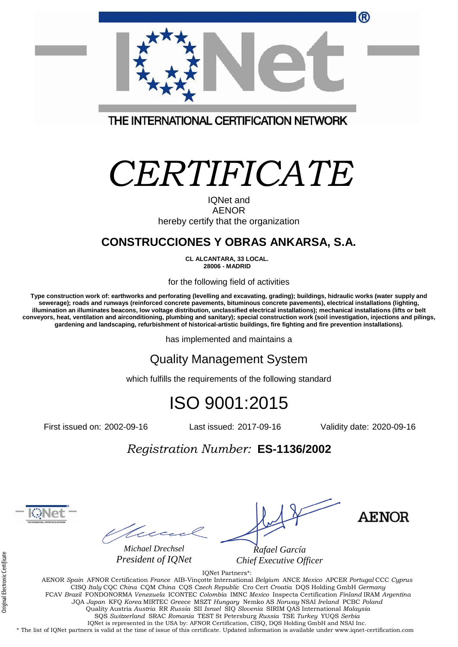| ®                                                                                       |
|-----------------------------------------------------------------------------------------|
|                                                                                         |
| THE INTERNATIONAL CERTIFICATION NETWORK                                                 |
| CERTIFICATE<br><b>IQNet and</b><br><b>AENOR</b><br>hereby certify that the organization |
| <b>CONSTRUCCIONES Y OBRAS ANKARSA, S.A.</b>                                             |

**CL ALCANTARA, 33 LOCAL. 28006 - MADRID**

for the following field of activities

**Type construction work of: earthworks and perforating (levelling and excavating, grading); buildings, hidraulic works (water supply and sewerage); roads and runways (reinforced concrete pavements, bituminous concrete pavements), electrical installations (lighting, illumination an illuminates beacons, low voltage distribution, unclassified electrical installations); mechanical installations (lifts or belt conveyors, heat, ventilation and airconditioning, plumbing and sanitary); special construction work (soil investigation, injections and pilings, gardening and landscaping, refurbishment of historical-artistic buildings, fire fighting and fire prevention installations).**

has implemented and maintains a

#### Quality Management System

which fulfills the requirements of the following standard

### ISO 9001:2015

First issued on: 2002-09-16 Last issued: 2017-09-16 Validity date: 2020-09-16

#### *Registration Number:* **ES-1136/2002**

teec *Michael Drechsel*

*President of IQNet*

*Rafael García*

*Chief Executive Officer*

**AENOR** 

IQNet Partners\*: AENOR *Spain* AFNOR Certification *France* AIB-Vinçotte International *Belgium* ANCE *Mexico* APCER *Portugal* CCC *Cyprus* CISQ *Italy* CQC *China* CQM *China* CQS *Czech Republic* Cro Cert *Croatia* DQS Holding GmbH *Germany*  FCAV *Brazil* FONDONORMA *Venezuela* ICONTEC *Colombia* IMNC *Mexico* Inspecta Certification *Finland* IRAM *Argentina*  JQA *Japan* KFQ *Korea* MIRTEC *Greece* MSZT *Hungary* Nemko AS *Norway* NSAI *Ireland* PCBC *Poland* Quality Austria *Austria* RR *Russia* SII *Israel* SIQ *Slovenia* SIRIM QAS International *Malaysia*  SQS *Switzerland* SRAC *Romania* TEST St Petersburg *Russia* TSE *Turkey* YUQS *Serbia* IQNet is represented in the USA by: AFNOR Certification, CISQ, DQS Holding GmbH and NSAI Inc. \* The list of IQNet partners is valid at the time of issue of this certificate. Updated information is available under www.iqnet-certification.com